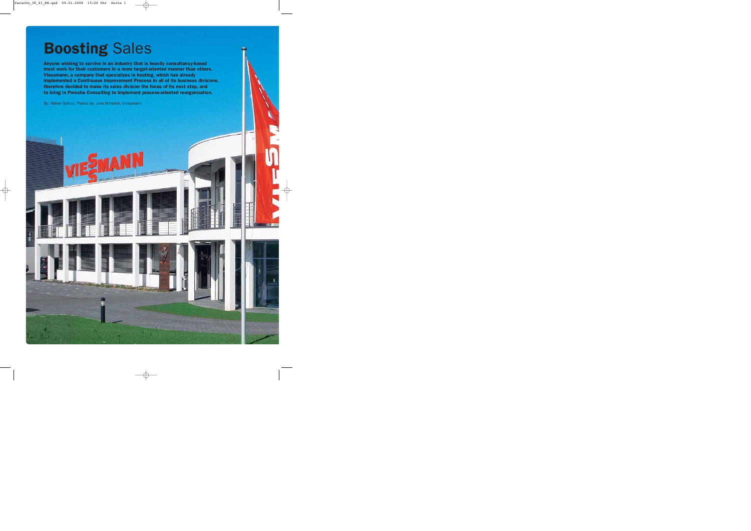## **Boosting** Sales

**Anyone wishing to survive in an industry that is heavily consultancy-based must work for their customers in a more target-oriented manner than others. Viessmann, a company that specializes in heating, which has already implemented a Continuous Improvement Process in all of its business divisions, therefore decided to make its sales division the focus of its next step, and to bring in Porsche Consulting to implement process-oriented reorganization.**

By: Reiner Schloz, Photos by: Jens Mönnich, Viessmann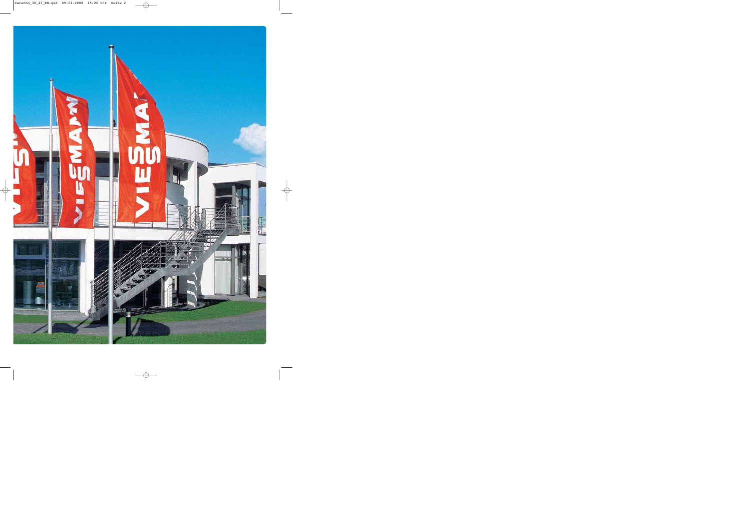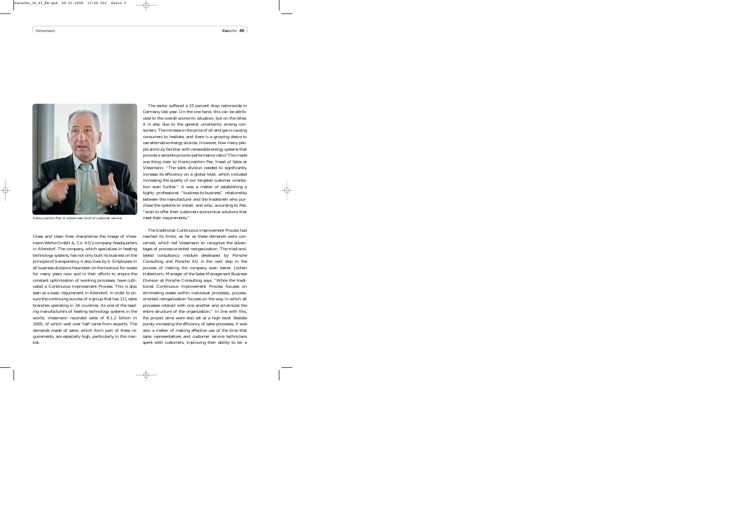

Hans-Joachim Pez: A whole new kind of customer service

Glass and clean lines characterize the image of Viessmann Werke GmbH & Co. KG's company headquarters in Allendorf. The company, which specializes in heating technology systems, has not only built its business on the principle of transparency, it also lives by it. Employees in all business divisions have been on the lookout for waste for many years now and in their efforts to ensure the constant optimization of working processes, have cultivated a Continuous Improvement Process. This is also seen as a basic requirement in Allendorf, in order to ensure the continuing success of a group that has 111 sales branches operating in 34 countries. As one of the leading manufacturers of heating technology systems in the world, Viessmann recorded sales of €1.2 billion in 2005, of which well over half came from exports. The demands made of sales, which form part of these requirements, are especially high, particularly in this market.

The sector suffered a 15 percent drop nationwide in Germany last year. On the one hand, this can be attributed to the overall economic situation, but on the other, it is also due to the general uncertainty among consumers. The increase in the price of oil and gas is causing consumers to hesitate, and there is a growing desire to use alternative energy sources. However, how many people are truly familiar with renewable energy systems that provide a sensible price-to-performance ratio? This made one thing clear to Hans-Joachim Pez, Head of Sales at Viessmann: "The sales division needed to significantly increase its efficiency on a global level, which included increasing the quality of our targeted customer orientation even further." It was a matter of establishing a highly professional "business-to-business" relationship between the manufacturer and the tradesmen who purchase the systems to install, and who, according to Pez, "wish to offer their customers economical solutions that meet their requirements."

The traditional Continuous Improvement Process had reached its limits, as far as these demands were concerned, which led Viessmann to recognize the advantages of process-oriented reorganization. The tried-andtested consultancy module developed by Porsche Consulting and Porsche AG is the next step in the process of making the company even leaner. Jochen Haberkorn, Manager of the Sales Management Business Division at Porsche Consulting says: "While the traditional Continuous Improvement Process focuses on eliminating waste within individual processes, processoriented reorganization focuses on the way in which all processes interact with one another and scrutinizes the entire structure of the organization." In line with this, the project aims were also set at a high level. Besides purely increasing the efficiency of sales processes, it was also a matter of making effective use of the time that sales representatives and customer service technicians spent with customers, improving their ability to be  $\rightarrow$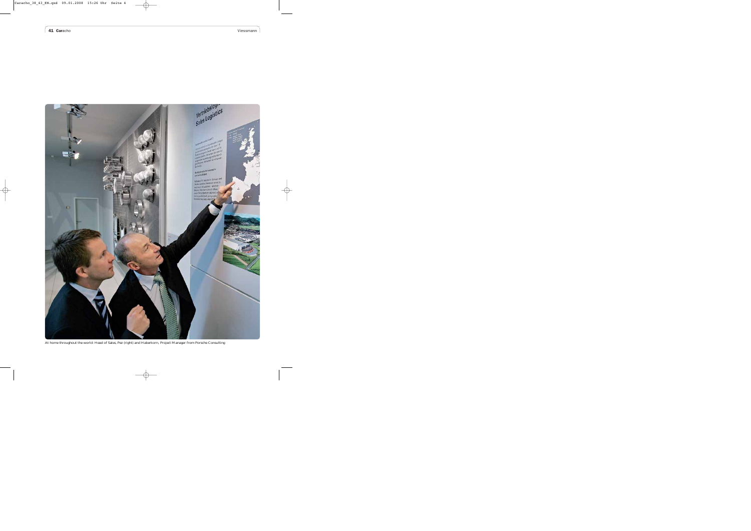

At home throughout the world: Head of Sales, Pez (right) and Haberkorn, Project Manager from Porsche Consulting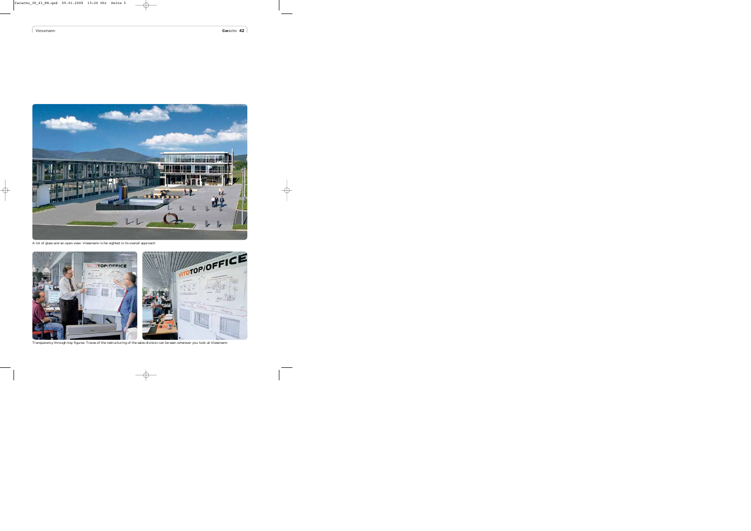

A lot of glass and an open view: Viessmann is far-sighted in its overall approach



Transparency through key figures: Traces of the restructuring of the sales division can be seen wherever you look at Viessmann